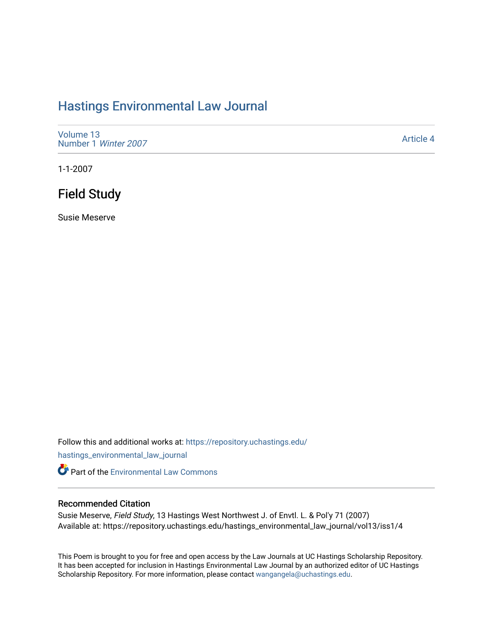# [Hastings Environmental Law Journal](https://repository.uchastings.edu/hastings_environmental_law_journal)

[Volume 13](https://repository.uchastings.edu/hastings_environmental_law_journal/vol13) [Number 1](https://repository.uchastings.edu/hastings_environmental_law_journal/vol13/iss1) Winter 2007

[Article 4](https://repository.uchastings.edu/hastings_environmental_law_journal/vol13/iss1/4) 

1-1-2007

# Field Study

Susie Meserve

Follow this and additional works at: [https://repository.uchastings.edu/](https://repository.uchastings.edu/hastings_environmental_law_journal?utm_source=repository.uchastings.edu%2Fhastings_environmental_law_journal%2Fvol13%2Fiss1%2F4&utm_medium=PDF&utm_campaign=PDFCoverPages)

[hastings\\_environmental\\_law\\_journal](https://repository.uchastings.edu/hastings_environmental_law_journal?utm_source=repository.uchastings.edu%2Fhastings_environmental_law_journal%2Fvol13%2Fiss1%2F4&utm_medium=PDF&utm_campaign=PDFCoverPages) 

**Part of the [Environmental Law Commons](http://network.bepress.com/hgg/discipline/599?utm_source=repository.uchastings.edu%2Fhastings_environmental_law_journal%2Fvol13%2Fiss1%2F4&utm_medium=PDF&utm_campaign=PDFCoverPages)** 

#### Recommended Citation

Susie Meserve, Field Study, 13 Hastings West Northwest J. of Envtl. L. & Pol'y 71 (2007) Available at: https://repository.uchastings.edu/hastings\_environmental\_law\_journal/vol13/iss1/4

This Poem is brought to you for free and open access by the Law Journals at UC Hastings Scholarship Repository. It has been accepted for inclusion in Hastings Environmental Law Journal by an authorized editor of UC Hastings Scholarship Repository. For more information, please contact [wangangela@uchastings.edu.](mailto:wangangela@uchastings.edu)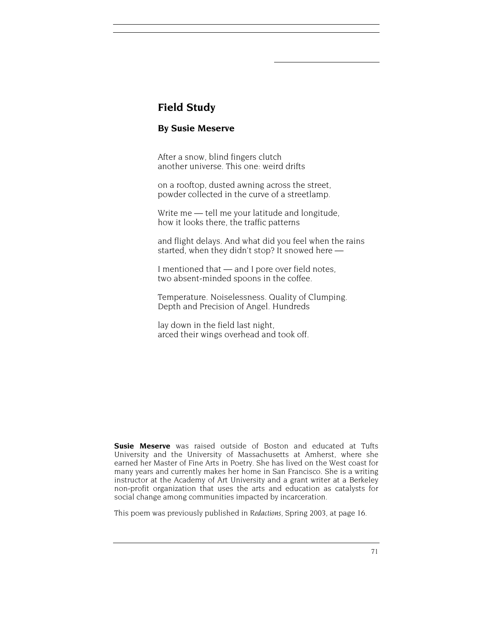### **Field Study**

### **By Susie Meserve**

After a snow, blind fingers clutch another universe. This one: weird drifts

on a rooftop, dusted awning across the street, powder collected in the curve of a streetlamp.

Write me — tell me your latitude and longitude, how it looks there, the traffic patterns

and flight delays. And what did you feel when the rains started, when they didn't stop? It snowed here —

I mentioned that — and I pore over field notes, two absent-minded spoons in the coffee.

Temperature. Noiselessness. Quality of Clumping. Depth and Precision of Angel. Hundreds

lay down in the field last night, arced their wings overhead and took off.

**Susie Meserve** was raised outside of Boston and educated at Tufts University and the University of Massachusetts at Amherst, where she earned her Master of Fine Arts in Poetry. She has lived on the West coast for many years and currently makes her home in San Francisco. She is a writing instructor at the Academy of Art University and a grant writer at a Berkeley non-profit organization that uses the arts and education as catalysts for social change among communities impacted by incarceration.

This poem was previously published in *Redactions*, Spring 2003, at page 16.